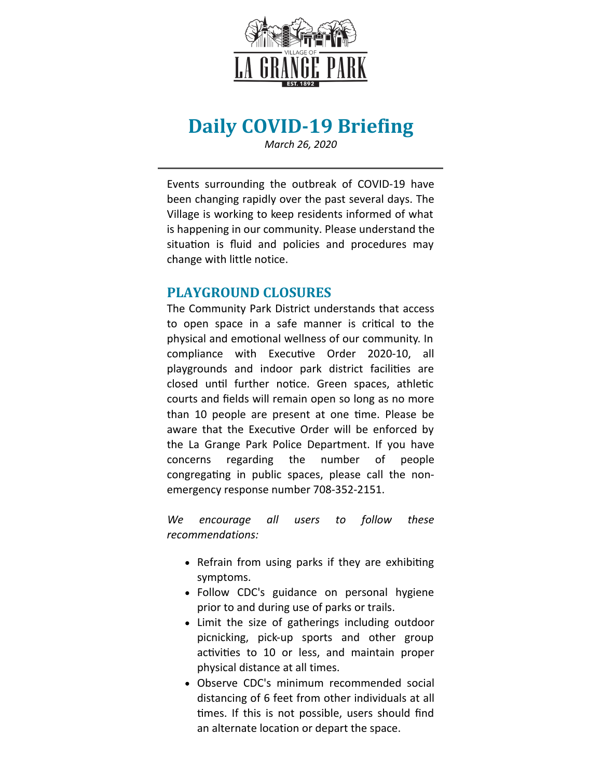

# **Daily COVID-19 Briefing**

*March 26, 2020*

Events surrounding the outbreak of COVID-19 have been changing rapidly over the past several days. The Village is working to keep residents informed of what is happening in our community. Please understand the situation is fluid and policies and procedures may change with little notice.

### **PLAYGROUND CLOSURES**

The Community Park District understands that access to open space in a safe manner is critical to the physical and emotional wellness of our community. In compliance with Executive Order 2020-10, all playgrounds and indoor park district facilities are closed until further notice. Green spaces, athletic courts and fields will remain open so long as no more than 10 people are present at one time. Please be aware that the Executive Order will be enforced by the La Grange Park Police Department. If you have concerns regarding the number of people congregating in public spaces, please call the nonemergency response number 708-352-2151.

*We encourage all users to follow these recommendations:*

- Refrain from using parks if they are exhibiting symptoms.
- Follow CDC's guidance on personal hygiene prior to and during use of parks or trails.
- Limit the size of gatherings including outdoor picnicking, pick-up sports and other group activities to 10 or less, and maintain proper physical distance at all times.
- Observe CDC's minimum recommended social distancing of 6 feet from other individuals at all times. If this is not possible, users should find an alternate location or depart the space.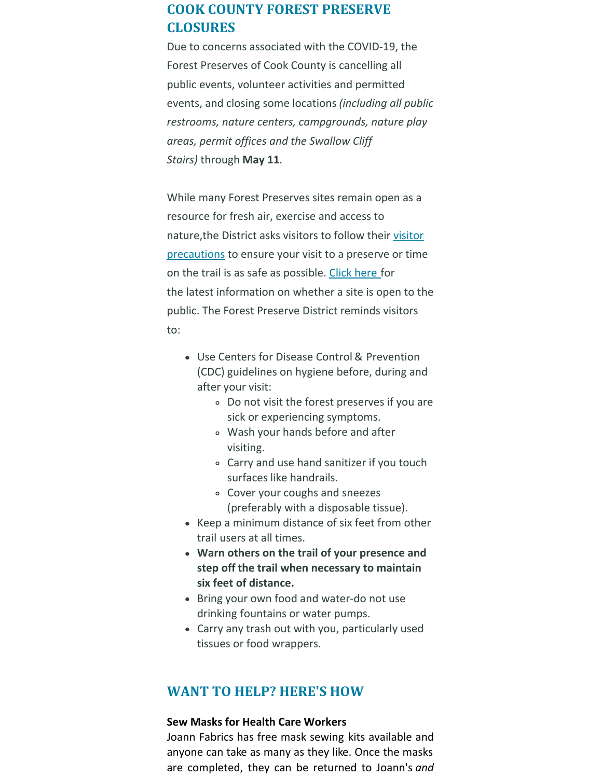## **COOK COUNTY FOREST PRESERVE CLOSURES**

Due to concerns associated with the COVID-19, the Forest Preserves of Cook County is cancelling all public events, volunteer activities and permitted events, and closing some locations *(including all public restrooms, nature centers, campgrounds, nature play areas, permit offices and the Swallow Cliff Stairs)* through **May 11**.

While many Forest Preserves sites remain open as a resource for fresh air, exercise and access to nature,the District asks visitors to follow their visitor [precautions](https://fpdcc.com/coronavirus-disease-covid-19-events-locations-precautions/#precautions) to ensure your visit to a preserve or time on the trail is as safe as possible. [Click](https://fpdcc.com/coronavirus-disease-covid-19-events-locations-precautions/) here for the latest information on whether a site is open to the public. The Forest Preserve District reminds visitors to:

- Use Centers for Disease Control & Prevention (CDC) guidelines on hygiene before, during and after your visit:
	- Do not visit the forest preserves if you are sick or experiencing symptoms.
	- Wash your hands before and after visiting.
	- Carry and use hand sanitizer if you touch surfaces like handrails.
	- Cover your coughs and sneezes (preferably with a disposable tissue).
- Keep a minimum distance of six feet from other trail users at all times.
- **Warn others on the trail of your presence and step off the trail when necessary to maintain six feet of distance.**
- Bring your own food and water-do not use drinking fountains or water pumps.
- Carry any trash out with you, particularly used tissues or food wrappers.

### **WANT TO HELP? HERE'S HOW**

#### **Sew Masks for Health Care Workers**

Joann Fabrics has free mask sewing kits available and anyone can take as many as they like. Once the masks are completed, they can be returned to Joann's *and*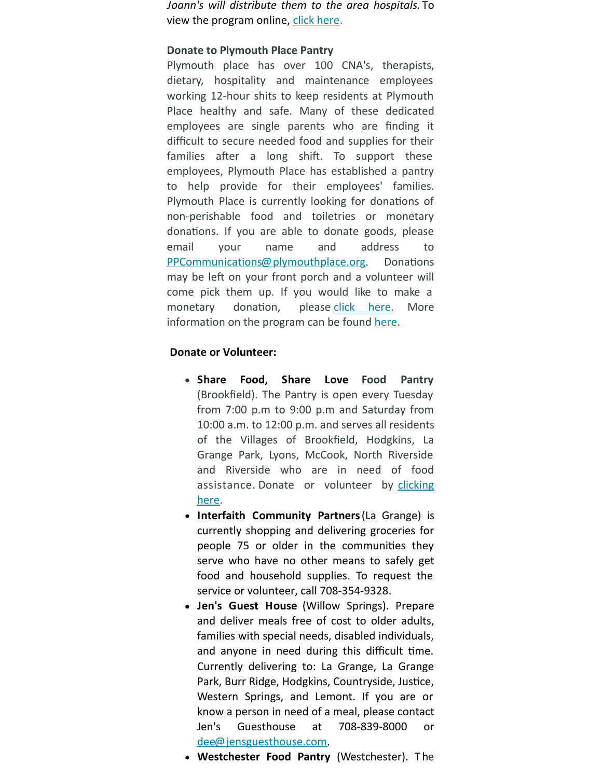*Joann's will distribute them to the area hospitals.* To view the program online, click [here](https://www.joann.com/make-to-give-response/).

#### **Donate to Plymouth Place Pantry**

Plymouth place has over 100 CNA's, therapists, dietary, hospitality and maintenance employees working 12-hour shits to keep residents at Plymouth Place healthy and safe. Many of these dedicated employees are single parents who are finding it difficult to secure needed food and supplies for their families after a long shift. To support these employees, Plymouth Place has established a pantry to help provide for their employees' families. Plymouth Place is currently looking for donations of non-perishable food and toiletries or monetary donations. If you are able to donate goods, please email your name and address to [PPCommunications@plymouthplace.org](mailto:PPCommunications@plymouthplace.org). Donations may be left on your front porch and a volunteer will come pick them up. If you would like to make a monetary donation, please click [here.](https://www.plymouthplace.org/giving/) More information on the program can be found [here](https://files.constantcontact.com/fac2adf0101/d5adf86d-61dc-4ced-8567-2a8a63da10ad.pdf).

#### **Donate or Volunteer:**

- **Share Food, Share Love Food Pantry** (Brookfield). The Pantry is open every Tuesday from 7:00 p.m to 9:00 p.m and Saturday from 10:00 a.m. to 12:00 p.m. and serves all residents of the Villages of Brookfield, Hodgkins, La Grange Park, Lyons, McCook, North Riverside and Riverside who are in need of food [assistance.](https://www.sharefoodsharelove.com/) Donate or volunteer by clicking here.
- **Interfaith Community Partners**(La Grange) is currently shopping and delivering groceries for people 75 or older in the communities they serve who have no other means to safely get food and household supplies. To request the service or volunteer, call 708-354-9328.
- **Jen's Guest House** (Willow Springs). Prepare and deliver meals free of cost to older adults, families with special needs, disabled individuals, and anyone in need during this difficult time. Currently delivering to: La Grange, La Grange Park, Burr Ridge, Hodgkins, Countryside, Justice, Western Springs, and Lemont. If you are or know a person in need of a meal, please contact Jen's Guesthouse at 708-839-8000 or [dee@jensguesthouse.com](mailto:dee@jensguesthouse.com).
- **Westchester Food Pantry** (Westchester). T he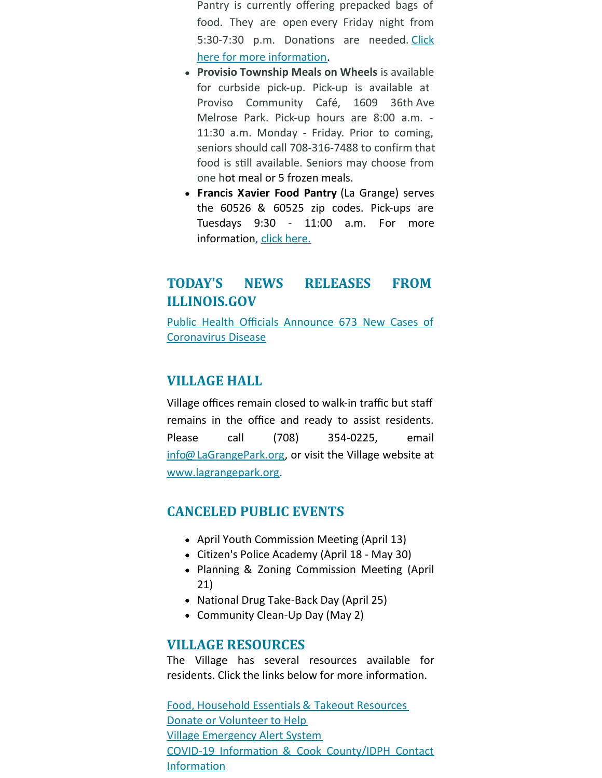Pantry is currently offering prepacked bags of food. They are open every Friday night from 5:30-7:30 p.m. Donations are needed. Click here for more [information.](http://www.westchesterfoodpantry.org/)

- **Provisio Township Meals on Wheels** is available for curbside pick-up. Pick-up is available at Proviso Community Café, 1609 36th Ave Melrose Park. Pick-up hours are 8:00 a.m. - 11:30 a.m. Monday - Friday. Prior to coming, seniors should call 708-316-7488 to confirm that food is still available. Seniors may choose from one hot meal or 5 frozen meals.
- **Francis Xavier Food Pantry** (La Grange) serves the 60526 & 60525 zip codes. Pick-ups are Tuesdays 9:30 - 11:00 a.m. For more information, click [here.](https://www.sfxlg.org/vnews/display.v/ART/59604c2b81487)

## **TODAY'S NEWS RELEASES FROM ILLINOIS.GOV**

Public Health Officials Announce 673 New Cases of [Coronavirus](https://www2.illinois.gov/Pages/news-item.aspx?ReleaseID=21303) Disease

### **VILLAGE HALL**

Village offices remain closed to walk-in traffic but staff remains in the office and ready to assist residents. Please call (708) 354-0225, email [info@LaGrangePark.org](mailto:info@LaGrangePark.org), or visit the Village website at [www.lagrangepark.org](http://www.lagrangepark.org.).

## **CANCELED PUBLIC EVENTS**

- April Youth Commission Meeting (April 13)
- Citizen's Police Academy (April 18 May 30)
- Planning & Zoning Commission Meeting (April 21)
- National Drug Take-Back Day (April 25)
- Community Clean-Up Day (May 2)

### **VILLAGE RESOURCES**

The Village has several resources available for residents. Click the links below for more information.

Food, [Household](http://www.lagrangepark.org/CivicAlerts.aspx?AID=194) Essentials & Takeout Resources Donate or [Volunteer](http://www.lagrangepark.org/CivicAlerts.aspx?AID=194) to Help Village [Emergency](http://www.lagrangepark.org/202/Emergency-Notifications) Alert System COVID-19 Information & Cook [County/IDPH](http://www.lagrangepark.org/505/Coronavirus-COVID-19#liveEditTab_propertiesTab) Contact Information